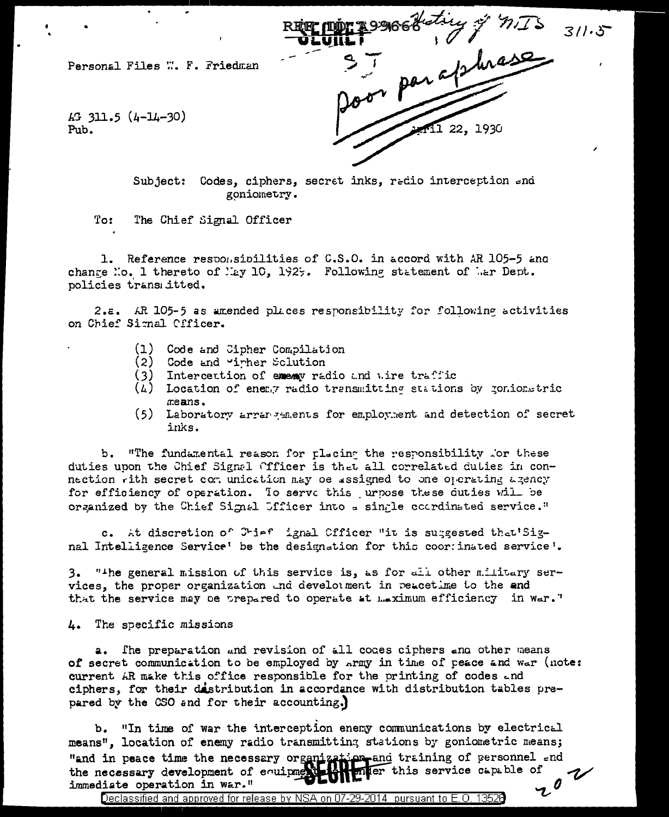37 par applicance Personal Files W. F. Friedman  $\overline{43}$  311.5 (4-14-30) **11 22, 193**0 Pub.

Subject: Codes, ciphers, secret inks, redio interception end goniometry.

 $\texttt{To:}$ The Chief Signal Officer

1. Reference responsibilities of C.S.O. in accord with AR 105-5 and change No. 1 thereto of May 10, 1929. Following statement of Mar Dept. policies transmitted.

2.a. AR 105-5 as amended places responsibility for following activities on Chief Signal Cfficer.

- (1) Code and Cipher Compilation
- (2) Code and "irher Sclution"
- $(3)$ Intercettion of exemy radio and wire traffic
- (A) Location of energy radio transmitting stations by gonionstric means.
- (5) Laboratory arrangements for employment and detection of secret inks.

b. "The fundamental reason for placing the responsibility for these duties upon the Chief Signal Officer is that all correlated duties in connection with secret con unication may be assigned to one operating agency for efficiency of operation. To serve this urpose these duties will be organized by the Chief Signal Sfficer into a single coordinated service."

c. At discretion of Chief ignal Officer "it is suggested that'Signal Intelligence Service' be the designation for this coortinated service'.

3. "The general mission of this service is, as for all other military services, the proper organization and develoment in peacetime to the end that the service may be prepared to operate at maximum efficiency in war."

4. The specific missions

The preparation and revision of all codes ciphers and other means a., of secret communication to be employed by Army in time of peace and war (note: current AR make this office responsible for the printing of codes and ciphers, for their destribution in accordance with distribution tables prepared by the CSO and for their accounting.)

 $b_{\bullet}$ "In time of war the interception enemy communications by electrical means". location of enemy radio transmitting stations by goniometric means; "and in peace time the necessary organization and training of personnel and the necessary development of equipment  $\frac{1}{2}$ . There this service capable of 202 immediate operation in war."

Declassified and approved for release by NSA on 07-29-2014 pursuant to E.O. 13526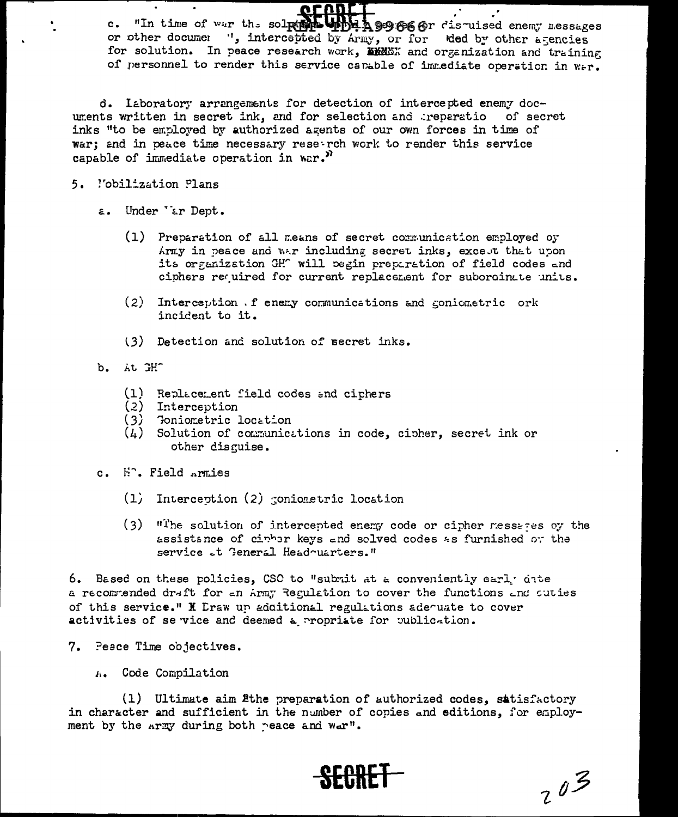$\overline{\phantom{a}}$ c. "In time of war the solpher under A 93666r distuised enemy messages or other documer ", intercepted by Army, or for ded by other agencies for solution. In peace research work, MMMMX and organization and training of nersonnel to render this service canable of immediate operation in wer.

d. Iaboratory arrangements for detection of intercepted enemy documents written in secret ink, and for selection and preparatio of secret inks "to be employed by authorized agents of our own forces in time of war; and in peace time necessary reseerch work to render this service capable of immediate operation in war. $^{\mathcal{Y}}$ 

## 5. l'obilization Plans

- Under 'ar Dept.  $a.$ 
	- (1) Preparation of all means of secret communication employed oy Army in peace and war including secret inks, except that upon its organization GH<sup>o</sup> will begin preparation of field codes and ciphers required for current replacement for subordinate units.
	- $(2)$ Interception . f enery communications and coniometric ork incident to it.
	- (3) Detection and solution of secret inks.
- b. At GHT
	- (1) Replacement field codes and ciphers
	- (2) Interception
	- (3) Toniometric location
	- $(4)$  Solution of communications in code, cipher, secret ink or other disquise.
- c. H<sup>o</sup>. Field Armies
	- $(1)$  Interception  $(2)$  configuration location
	- (3) "The solution of intercepted enemy code or cipher resseres by the assistance of cirrar keys and solved codes as furnished of the service et General Headquarters."

6. Based on these policies, CSC to "submit at a conveniently early gite a recommended draft for an Army Regulation to cover the functions and cuties of this service." I Eraw un additional regulations adequate to cover activities of se vice and deemed a propriate for publication.

- 7. Peace Time objectives.
	- A. Code Compilation

(1) Ultimate aim 2the preparation of authorized codes, satisfactory in character and sufficient in the number of copies and editions, for employment by the Army during both reace and war".



 $203$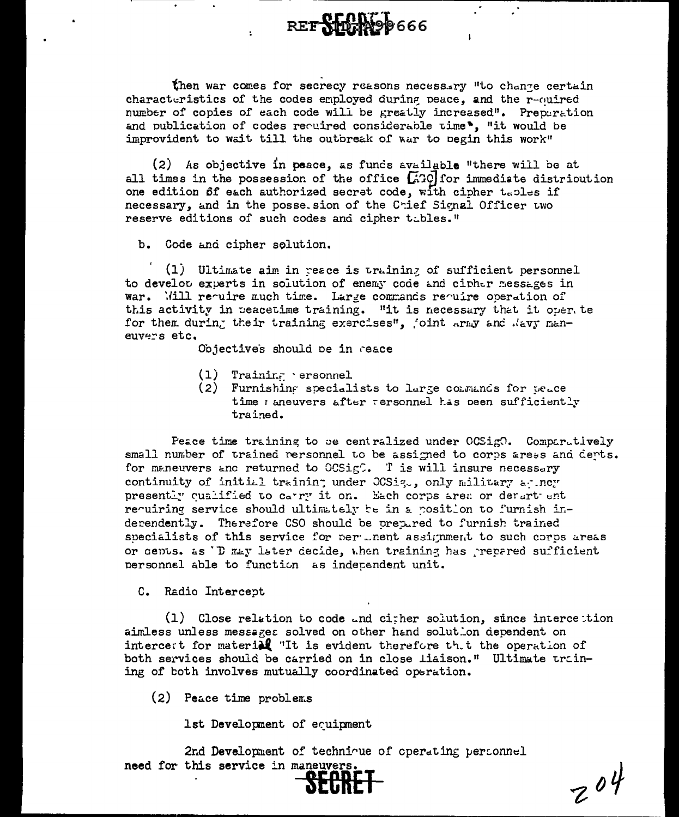REF**SHIPA99666** 

then war comes for secrecy reasons necessary "to change certain characteristics of the codes employed during peace, and the r-ouired number of copies of each code will be greatly increased". Preparation and publication of codes required considerable time. "it would be improvident to wait till the outbreak of war to pegin this work"

(2) As objective in peace, as funds available "there will be at all times in the possession of the office  $\begin{bmatrix} .30 \end{bmatrix}$  for immediate distribution one edition of each authorized secret code, with cipher tables if necessary, and in the posse. sion of the Crief Signal Officer two reserve editions of such codes and cipher tables."

b. Code and cipher solution.

(1) Ultimate aim in reace is training of sufficient personnel to develor experts in solution of enemy code and cipher messages in war. Will require much time. Large commands require operation of this activity in reacetime training. "it is necessary that it over te for them during their training exercises", joint army and Navy maneuvers etc.

Objectives should be in reace

- $(1)$ Training ersonnel
- (2) Furnishing specialists to large consumes for peace time maneuvers after tersonnel has been sufficiently trained.

Peace time training to be centralized under OCSigO. Comparatively small number of trained rersonnel to be assigned to corps aress and derts. for maneuvers and returned to OCSigC. T is will insure necessary continuity of initial training under OCSig., only military agincy presently qualified to carry it on. Each corps area or derart ent requiring service should ultimately be in a position to furnish inderendently. Therefore CSO should be prepared to furnish trained specialists of this service for per ... nent assignment to such corps areas or gents. as 'D may later decide, when training has prepared sufficient personnel able to function as independent unit.

C. Radio Intercept

(1) Close relation to code and cither solution, since intercettion aimless unless messages solved on other hand solution dependent on intercett for material "It is evident therefore th.t the operation of both services should be carried on in close liaison." Ultimate training of both involves mutually coordinated operation.

(2) Peace time problems

1st Development of equipment

2nd Development of technique of operating personnel need for this service in maneuvers.

 $204$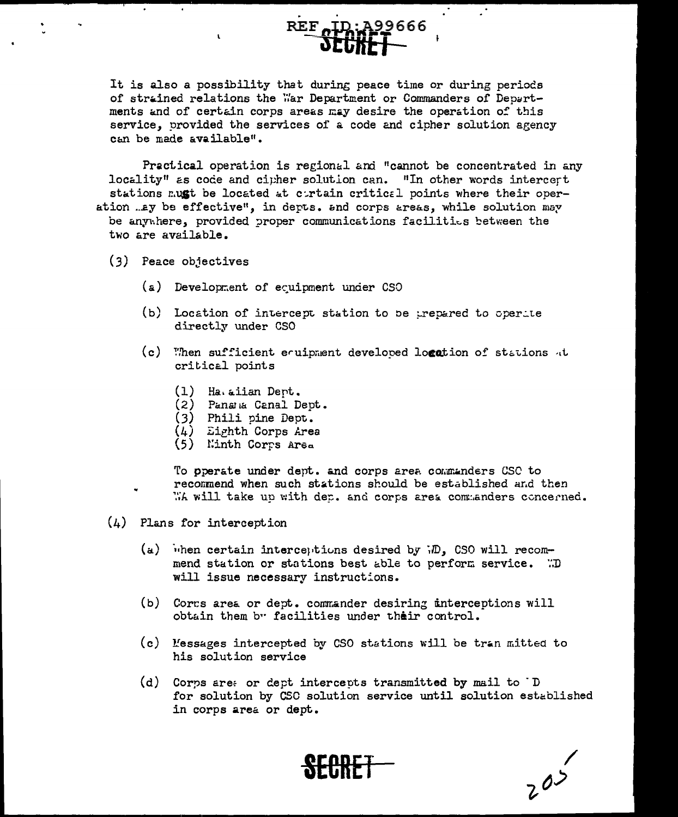

It is also a possibility that during peace time or during periods of strained relations the War Department or Commanders of Departments and of certain corps areas may desire the operation of this service, provided the services of a code and cipher solution agency can be made available".

Practical operation is regional and "cannot be concentrated in any locality" as code and cipher solution can. "In other words intercert stations mugt be located at cortain critical points where their operation ..ay be effective", in depts. and corps areas, while solution may be anywhere, provided proper communications facilities between the two are available.

- (3) Peace objectives
	- (a) Development of equipment under CSO
	- (b) Location of intercept station to be trepared to operate directly under CSO
	- (c) When sufficient equipment developed logation of stations at critical points
		- $(1)$  Ha aiian Dept.
		- (2) Panana Canal Dept.
		- (3) Phili pine Dept.
		- $(4)$  Eighth Corps Area
		- (5) Minth Corps Area

To operate under dept. and corps area commanders CSC to recommend when such stations should be established and then WA will take up with dep. and corps area commanders concerned.

- $(4)$  Plans for interception
	- (a) when certain interceptions desired by  $\overline{v}$ , CSO will recommend station or stations best able to perform service. "D will issue necessary instructions.
	- (b) Corrs area or dept. commander desiring unterceptions will obtain them by facilities under their control.
	- (c) Messages intercepted by CSO stations will be tran mitted to his solution service
	- (d) Corps are: or dept intercepts transmitted by mail to D for solution by CSC solution service until solution established in corps area or dept.

 $205$